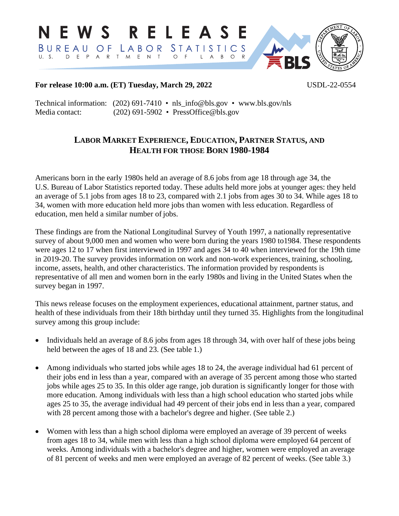

## **For release 10:00 a.m. (ET) Tuesday, March 29, 2022** USDL-22-0554

Technical information: (202) 691-7410 • nls\_info@bls.gov • [www.bls.gov/nls](http://www.bls.gov/nls)  Media contact: (202) 691-5902 • [PressOffice@bls.gov](mailto:PressOffice@bls.gov)

## **LABOR MARKET EXPERIENCE, EDUCATION, PARTNER STATUS, AND HEALTH FOR THOSE BORN 1980-1984**

Americans born in the early 1980s held an average of 8.6 jobs from age 18 through age 34, the U.S. Bureau of Labor Statistics reported today. These adults held more jobs at younger ages: they held an average of 5.1 jobs from ages 18 to 23, compared with 2.1 jobs from ages 30 to 34. While ages 18 to 34, women with more education held more jobs than women with less education. Regardless of education, men held a similar number of jobs.

These findings are from the National Longitudinal Survey of Youth 1997, a nationally representative survey of about 9,000 men and women who were born during the years 1980 to 1984. These respondents were ages 12 to 17 when first interviewed in 1997 and ages 34 to 40 when interviewed for the 19th time in 2019-20. The survey provides information on work and non-work experiences, training, schooling, income, assets, health, and other characteristics. The information provided by respondents is representative of all men and women born in the early 1980s and living in the United States when the survey began in 1997.

This news release focuses on the employment experiences, educational attainment, partner status, and health of these individuals from their 18th birthday until they turned 35. Highlights from the longitudinal survey among this group include:

- Individuals held an average of 8.6 jobs from ages 18 through 34, with over half of these jobs being held between the ages of 18 and 23. (See table 1.)
- Among individuals who started jobs while ages 18 to 24, the average individual had 61 percent of their jobs end in less than a year, compared with an average of 35 percent among those who started jobs while ages 25 to 35. In this older age range, job duration is significantly longer for those with more education. Among individuals with less than a high school education who started jobs while ages 25 to 35, the average individual had 49 percent of their jobs end in less than a year, compared with 28 percent among those with a bachelor's degree and higher. (See table 2.)
- Women with less than a high school diploma were employed an average of 39 percent of weeks from ages 18 to 34, while men with less than a high school diploma were employed 64 percent of weeks. Among individuals with a bachelor's degree and higher, women were employed an average of 81 percent of weeks and men were employed an average of 82 percent of weeks. (See table 3.)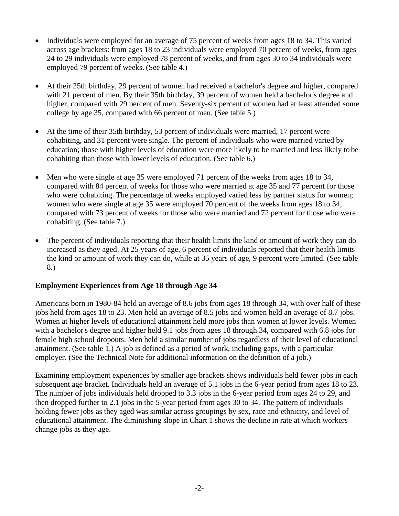- Individuals were employed for an average of 75 percent of weeks from ages 18 to 34. This varied across age brackets: from ages 18 to 23 individuals were employed 70 percent of weeks, from ages 24 to 29 individuals were employed 78 percent of weeks, and from ages 30 to 34 individuals were employed 79 percent of weeks. (See table 4.)
- At their 25th birthday, 29 percent of women had received a bachelor's degree and higher, compared with 21 percent of men. By their 35th birthday, 39 percent of women held a bachelor's degree and higher, compared with 29 percent of men. Seventy-six percent of women had at least attended some college by age 35, compared with 66 percent of men. (See table 5.)
- At the time of their 35th birthday, 53 percent of individuals were married, 17 percent were cohabiting, and 31 percent were single. The percent of individuals who were married varied by education; those with higher levels of education were more likely to be married and less likely to be cohabiting than those with lower levels of education. (See table 6.)
- Men who were single at age 35 were employed 71 percent of the weeks from ages 18 to 34, compared with 84 percent of weeks for those who were married at age 35 and 77 percent for those who were cohabiting. The percentage of weeks employed varied less by partner status for women; women who were single at age 35 were employed 70 percent of the weeks from ages 18 to 34, compared with 73 percent of weeks for those who were married and 72 percent for those who were cohabiting. (See table 7.)
- The percent of individuals reporting that their health limits the kind or amount of work they can do increased as they aged. At 25 years of age, 6 percent of individuals reported that their health limits the kind or amount of work they can do, while at 35 years of age, 9 percent were limited. (See table 8.)

## **Employment Experiences from Age 18 through Age 34**

Americans born in 1980-84 held an average of 8.6 jobs from ages 18 through 34, with over half of these jobs held from ages 18 to 23. Men held an average of 8.5 jobs and women held an average of 8.7 jobs. Women at higher levels of educational attainment held more jobs than women at lower levels. Women with a bachelor's degree and higher held 9.1 jobs from ages 18 through 34, compared with 6.8 jobs for female high school dropouts. Men held a similar number of jobs regardless of their level of educational attainment. (See table 1.) A job is defined as a period of work, including gaps, with a particular employer. (See the Technical Note for additional information on the definition of a job.)

Examining employment experiences by smaller age brackets shows individuals held fewer jobs in each subsequent age bracket. Individuals held an average of 5.1 jobs in the 6-year period from ages 18 to 23. The number of jobs individuals held dropped to 3.3 jobs in the 6-year period from ages 24 to 29, and then dropped further to 2.1 jobs in the 5-year period from ages 30 to 34. The pattern of individuals holding fewer jobs as they aged was similar across groupings by sex, race and ethnicity, and level of educational attainment. The diminishing slope in Chart 1 shows the decline in rate at which workers change jobs as they age.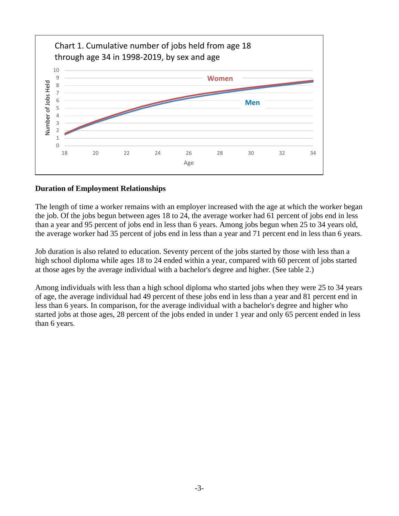

## **Duration of Employment Relationships**

The length of time a worker remains with an employer increased with the age at which the worker began the job. Of the jobs begun between ages 18 to 24, the average worker had 61 percent of jobs end in less than a year and 95 percent of jobs end in less than 6 years. Among jobs begun when 25 to 34 years old, the average worker had 35 percent of jobs end in less than a year and 71 percent end in less than 6 years.

Job duration is also related to education. Seventy percent of the jobs started by those with less than a high school diploma while ages 18 to 24 ended within a year, compared with 60 percent of jobs started at those ages by the average individual with a bachelor's degree and higher. (See table 2.)

Among individuals with less than a high school diploma who started jobs when they were 25 to 34 years of age, the average individual had 49 percent of these jobs end in less than a year and 81 percent end in less than 6 years. In comparison, for the average individual with a bachelor's degree and higher who started jobs at those ages, 28 percent of the jobs ended in under 1 year and only 65 percent ended in less than 6 years.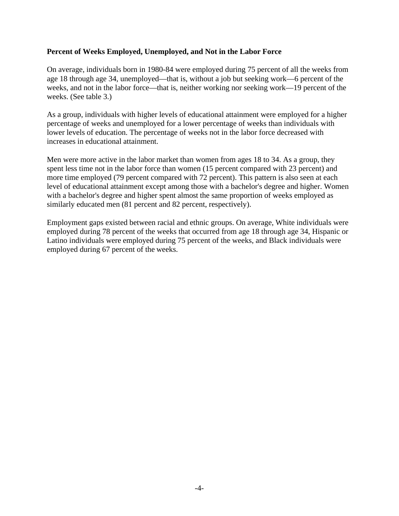## **Percent of Weeks Employed, Unemployed, and Not in the Labor Force**

On average, individuals born in 1980-84 were employed during 75 percent of all the weeks from age 18 through age 34, unemployed—that is, without a job but seeking work—6 percent of the weeks, and not in the labor force—that is, neither working nor seeking work—19 percent of the weeks. (See table 3.)

As a group, individuals with higher levels of educational attainment were employed for a higher percentage of weeks and unemployed for a lower percentage of weeks than individuals with lower levels of education. The percentage of weeks not in the labor force decreased with increases in educational attainment.

Men were more active in the labor market than women from ages 18 to 34. As a group, they spent less time not in the labor force than women (15 percent compared with 23 percent) and more time employed (79 percent compared with 72 percent). This pattern is also seen at each level of educational attainment except among those with a bachelor's degree and higher. Women with a bachelor's degree and higher spent almost the same proportion of weeks employed as similarly educated men (81 percent and 82 percent, respectively).

Employment gaps existed between racial and ethnic groups. On average, White individuals were employed during 78 percent of the weeks that occurred from age 18 through age 34, Hispanic or Latino individuals were employed during 75 percent of the weeks, and Black individuals were employed during 67 percent of the weeks.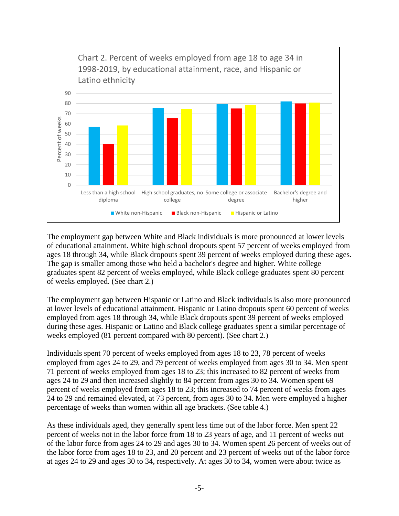

The employment gap between White and Black individuals is more pronounced at lower levels of educational attainment. White high school dropouts spent 57 percent of weeks employed from ages 18 through 34, while Black dropouts spent 39 percent of weeks employed during these ages. The gap is smaller among those who held a bachelor's degree and higher. White college graduates spent 82 percent of weeks employed, while Black college graduates spent 80 percent of weeks employed. (See chart 2.)

The employment gap between Hispanic or Latino and Black individuals is also more pronounced at lower levels of educational attainment. Hispanic or Latino dropouts spent 60 percent of weeks employed from ages 18 through 34, while Black dropouts spent 39 percent of weeks employed during these ages. Hispanic or Latino and Black college graduates spent a similar percentage of weeks employed (81 percent compared with 80 percent). (See chart 2.)

Individuals spent 70 percent of weeks employed from ages 18 to 23, 78 percent of weeks employed from ages 24 to 29, and 79 percent of weeks employed from ages 30 to 34. Men spent 71 percent of weeks employed from ages 18 to 23; this increased to 82 percent of weeks from ages 24 to 29 and then increased slightly to 84 percent from ages 30 to 34. Women spent 69 percent of weeks employed from ages 18 to 23; this increased to 74 percent of weeks from ages 24 to 29 and remained elevated, at 73 percent, from ages 30 to 34. Men were employed a higher percentage of weeks than women within all age brackets. (See table 4.)

As these individuals aged, they generally spent less time out of the labor force. Men spent 22 percent of weeks not in the labor force from 18 to 23 years of age, and 11 percent of weeks out of the labor force from ages 24 to 29 and ages 30 to 34. Women spent 26 percent of weeks out of the labor force from ages 18 to 23, and 20 percent and 23 percent of weeks out of the labor force at ages 24 to 29 and ages 30 to 34, respectively. At ages 30 to 34, women were about twice as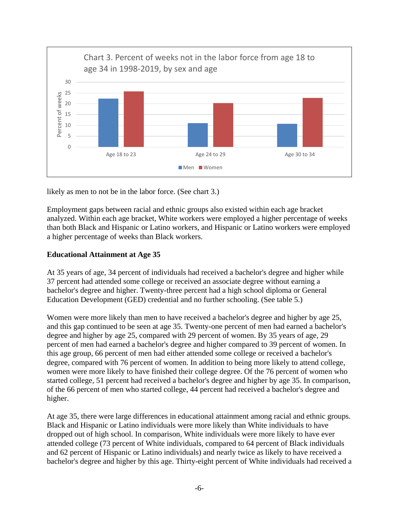

likely as men to not be in the labor force. (See chart 3.)

Employment gaps between racial and ethnic groups also existed within each age bracket analyzed. Within each age bracket, White workers were employed a higher percentage of weeks than both Black and Hispanic or Latino workers, and Hispanic or Latino workers were employed a higher percentage of weeks than Black workers.

## **Educational Attainment at Age 35**

At 35 years of age, 34 percent of individuals had received a bachelor's degree and higher while 37 percent had attended some college or received an associate degree without earning a bachelor's degree and higher. Twenty-three percent had a high school diploma or General Education Development (GED) credential and no further schooling. (See table 5.)

Women were more likely than men to have received a bachelor's degree and higher by age 25, and this gap continued to be seen at age 35. Twenty-one percent of men had earned a bachelor's degree and higher by age 25, compared with 29 percent of women. By 35 years of age, 29 percent of men had earned a bachelor's degree and higher compared to 39 percent of women. In this age group, 66 percent of men had either attended some college or received a bachelor's degree, compared with 76 percent of women. In addition to being more likely to attend college, women were more likely to have finished their college degree. Of the 76 percent of women who started college, 51 percent had received a bachelor's degree and higher by age 35. In comparison, of the 66 percent of men who started college, 44 percent had received a bachelor's degree and higher.

At age 35, there were large differences in educational attainment among racial and ethnic groups. Black and Hispanic or Latino individuals were more likely than White individuals to have dropped out of high school. In comparison, White individuals were more likely to have ever attended college (73 percent of White individuals, compared to 64 percent of Black individuals and 62 percent of Hispanic or Latino individuals) and nearly twice as likely to have received a bachelor's degree and higher by this age. Thirty-eight percent of White individuals had received a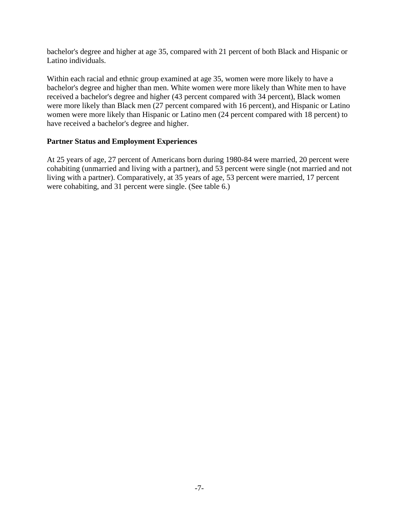bachelor's degree and higher at age 35, compared with 21 percent of both Black and Hispanic or Latino individuals.

Within each racial and ethnic group examined at age 35, women were more likely to have a bachelor's degree and higher than men. White women were more likely than White men to have received a bachelor's degree and higher (43 percent compared with 34 percent), Black women were more likely than Black men (27 percent compared with 16 percent), and Hispanic or Latino women were more likely than Hispanic or Latino men (24 percent compared with 18 percent) to have received a bachelor's degree and higher.

## **Partner Status and Employment Experiences**

At 25 years of age, 27 percent of Americans born during 1980-84 were married, 20 percent were cohabiting (unmarried and living with a partner), and 53 percent were single (not married and not living with a partner). Comparatively, at 35 years of age, 53 percent were married, 17 percent were cohabiting, and 31 percent were single. (See table 6.)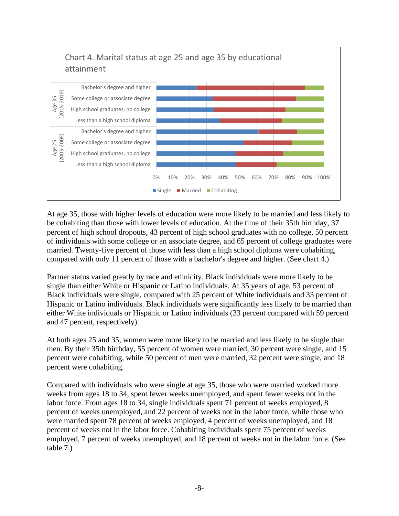

At age 35, those with higher levels of education were more likely to be married and less likely to be cohabiting than those with lower levels of education. At the time of their 35th birthday, 37 percent of high school dropouts, 43 percent of high school graduates with no college, 50 percent of individuals with some college or an associate degree, and 65 percent of college graduates were married. Twenty-five percent of those with less than a high school diploma were cohabiting, compared with only 11 percent of those with a bachelor's degree and higher. (See chart 4.)

Partner status varied greatly by race and ethnicity. Black individuals were more likely to be single than either White or Hispanic or Latino individuals. At 35 years of age, 53 percent of Black individuals were single, compared with 25 percent of White individuals and 33 percent of Hispanic or Latino individuals. Black individuals were significantly less likely to be married than either White individuals or Hispanic or Latino individuals (33 percent compared with 59 percent and 47 percent, respectively).

At both ages 25 and 35, women were more likely to be married and less likely to be single than men. By their 35th birthday, 55 percent of women were married, 30 percent were single, and 15 percent were cohabiting, while 50 percent of men were married, 32 percent were single, and 18 percent were cohabiting.

Compared with individuals who were single at age 35, those who were married worked more weeks from ages 18 to 34, spent fewer weeks unemployed, and spent fewer weeks not in the labor force. From ages 18 to 34, single individuals spent 71 percent of weeks employed, 8 percent of weeks unemployed, and 22 percent of weeks not in the labor force, while those who were married spent 78 percent of weeks employed, 4 percent of weeks unemployed, and 18 percent of weeks not in the labor force. Cohabiting individuals spent 75 percent of weeks employed, 7 percent of weeks unemployed, and 18 percent of weeks not in the labor force. (See table 7.)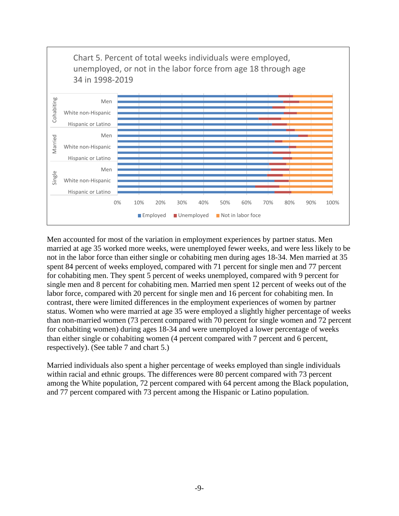

Men accounted for most of the variation in employment experiences by partner status. Men married at age 35 worked more weeks, were unemployed fewer weeks, and were less likely to be not in the labor force than either single or cohabiting men during ages 18-34. Men married at 35 spent 84 percent of weeks employed, compared with 71 percent for single men and 77 percent for cohabiting men. They spent 5 percent of weeks unemployed, compared with 9 percent for single men and 8 percent for cohabiting men. Married men spent 12 percent of weeks out of the labor force, compared with 20 percent for single men and 16 percent for cohabiting men. In contrast, there were limited differences in the employment experiences of women by partner status. Women who were married at age 35 were employed a slightly higher percentage of weeks than non-married women (73 percent compared with 70 percent for single women and 72 percent for cohabiting women) during ages 18-34 and were unemployed a lower percentage of weeks than either single or cohabiting women (4 percent compared with 7 percent and 6 percent, respectively). (See table 7 and chart 5.)

Married individuals also spent a higher percentage of weeks employed than single individuals within racial and ethnic groups. The differences were 80 percent compared with 73 percent among the White population, 72 percent compared with 64 percent among the Black population, and 77 percent compared with 73 percent among the Hispanic or Latino population.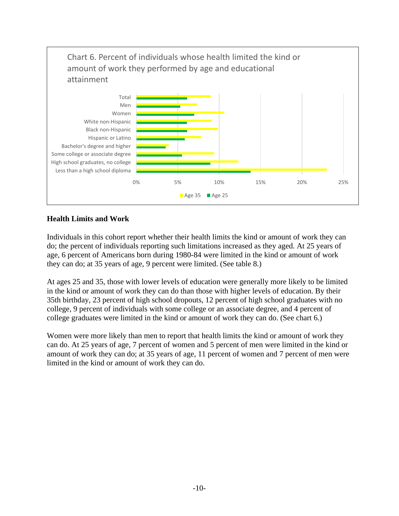

## **Health Limits and Work**

Individuals in this cohort report whether their health limits the kind or amount of work they can do; the percent of individuals reporting such limitations increased as they aged. At 25 years of age, 6 percent of Americans born during 1980-84 were limited in the kind or amount of work they can do; at 35 years of age, 9 percent were limited. (See table 8.)

At ages 25 and 35, those with lower levels of education were generally more likely to be limited in the kind or amount of work they can do than those with higher levels of education. By their 35th birthday, 23 percent of high school dropouts, 12 percent of high school graduates with no college, 9 percent of individuals with some college or an associate degree, and 4 percent of college graduates were limited in the kind or amount of work they can do. (See chart 6.)

Women were more likely than men to report that health limits the kind or amount of work they can do. At 25 years of age, 7 percent of women and 5 percent of men were limited in the kind or amount of work they can do; at 35 years of age, 11 percent of women and 7 percent of men were limited in the kind or amount of work they can do.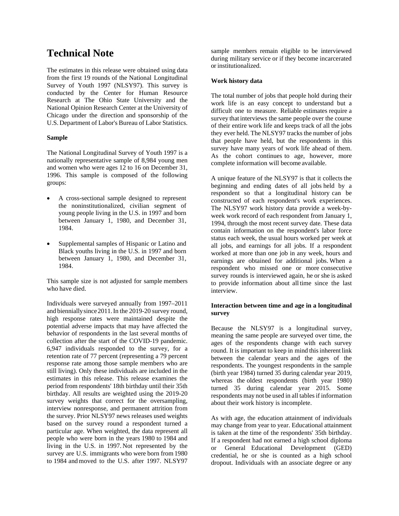# **Technical Note**

The estimates in this release were obtained using data from the first 19 rounds of the National Longitudinal Survey of Youth 1997 (NLSY97). This survey is conducted by the Center for Human Resource Research at The Ohio State University and the National Opinion Research Center at the University of Chicago under the direction and sponsorship of the U.S. Department of Labor's Bureau of Labor Statistics.

### **Sample**

The National Longitudinal Survey of Youth 1997 is a nationally representative sample of 8,984 young men and women who were ages 12 to 16 on December 31, 1996. This sample is composed of the following groups:

- A cross-sectional sample designed to represent the noninstitutionalized, civilian segment of young people living in the U.S. in 1997 and born between January 1, 1980, and December 31, 1984.
- Supplemental samples of Hispanic or Latino and Black youths living in the U.S. in 1997 and born between January 1, 1980, and December 31, 1984.

This sample size is not adjusted for sample members who have died.

Individuals were surveyed annually from 1997–2011 and bienniallysince2011.In the 2019-20 survey round, high response rates were maintained despite the potential adverse impacts that may have affected the behavior of respondents in the last several months of collection after the start of the COVID-19 pandemic. 6,947 individuals responded to the survey, for a retention rate of 77 percent (representing a 79 percent response rate among those sample members who are still living). Only these individuals are included in the estimates in this release. This release examines the period from respondents' 18th birthday until their 35th birthday. All results are weighted using the 2019-20 survey weights that correct for the oversampling, interview nonresponse, and permanent attrition from the survey. Prior NLSY97 news releases used weights based on the survey round a respondent turned a particular age. When weighted, the data represent all people who were born in the years 1980 to 1984 and living in the U.S. in 1997. Not represented by the survey are U.S. immigrants who were born from 1980 to 1984 and moved to the U.S. after 1997. NLSY97

sample members remain eligible to be interviewed during military service or if they become incarcerated or institutionalized.

### **Work history data**

The total number of jobs that people hold during their work life is an easy concept to understand but a difficult one to measure. Reliable estimates require a survey that interviews the same people over the course of their entire work life and keeps track of all the jobs they ever held. The NLSY97 tracks the number of jobs that people have held, but the respondents in this survey have many years of work life ahead of them. As the cohort continues to age, however, more complete information will become available.

A unique feature of the NLSY97 is that it collects the beginning and ending dates of all jobs held by a respondent so that a longitudinal history can be constructed of each respondent's work experiences. The NLSY97 work history data provide a week-byweek work record of each respondent from January 1, 1994, through the most recent survey date*.* These data contain information on the respondent's labor force status each week, the usual hours worked per week at all jobs, and earnings for all jobs. If a respondent worked at more than one job in any week, hours and earnings are obtained for additional jobs. When a respondent who missed one or more consecutive survey rounds is interviewed again, he or she is asked to provide information about all time since the last interview.

#### **Interaction between time and age in a longitudinal survey**

Because the NLSY97 is a longitudinal survey, meaning the same people are surveyed over time, the ages of the respondents change with each survey round. It is important to keep in mind this inherent link between the calendar years and the ages of the respondents. The youngest respondents in the sample (birth year 1984) turned 35 during calendar year 2019, whereas the oldest respondents (birth year 1980) turned 35 during calendar year 2015. Some respondents may not be used in all tables if information about their work history is incomplete.

As with age, the education attainment of individuals may change from year to year. Educational attainment is taken at the time of the respondents' 35th birthday. If a respondent had not earned a high school diploma or General Educational Development (GED) credential, he or she is counted as a high school dropout. Individuals with an associate degree or any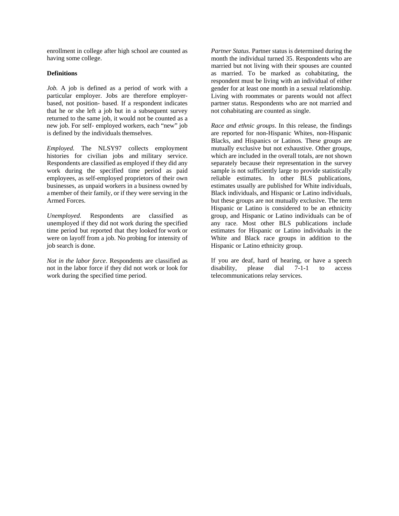enrollment in college after high school are counted as having some college.

### **Definitions**

*Job.* A job is defined as a period of work with a particular employer. Jobs are therefore employerbased, not position- based. If a respondent indicates that he or she left a job but in a subsequent survey returned to the same job, it would not be counted as a new job. For self- employed workers, each "new" job is defined by the individuals themselves.

*Employed.* The NLSY97 collects employment histories for civilian jobs and military service. Respondents are classified as employed if they did any work during the specified time period as paid employees, as self-employed proprietors of their own businesses, as unpaid workers in a business owned by a member of their family, or if they were serving in the Armed Forces.

*Unemployed.* Respondents are classified as unemployed if they did not work during the specified time period but reported that they looked for work or were on layoff from a job. No probing for intensity of job search is done.

*Not in the labor force*. Respondents are classified as not in the labor force if they did not work or look for work during the specified time period.

*Partner Status*. Partner status is determined during the month the individual turned 35. Respondents who are married but not living with their spouses are counted as married. To be marked as cohabitating, the respondent must be living with an individual of either gender for at least one month in a sexual relationship. Living with roommates or parents would not affect partner status. Respondents who are not married and not cohabitating are counted as single.

*Race and ethnic groups*. In this release, the findings are reported for non-Hispanic Whites, non-Hispanic Blacks, and Hispanics or Latinos. These groups are mutually exclusive but not exhaustive. Other groups, which are included in the overall totals, are not shown separately because their representation in the survey sample is not sufficiently large to provide statistically reliable estimates. In other BLS publications, estimates usually are published for White individuals, Black individuals, and Hispanic or Latino individuals, but these groups are not mutually exclusive. The term Hispanic or Latino is considered to be an ethnicity group, and Hispanic or Latino individuals can be of any race. Most other BLS publications include estimates for Hispanic or Latino individuals in the White and Black race groups in addition to the Hispanic or Latino ethnicity group.

If you are deaf, hard of hearing, or have a speech disability, please dial 7-1-1 to access telecommunications relay services.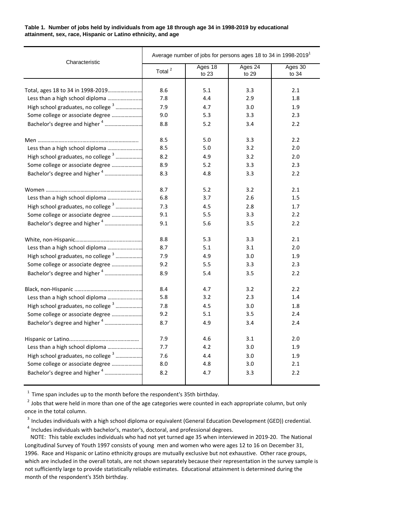**Table 1. Number of jobs held by individuals from age 18 through age 34 in 1998-2019 by educational attainment, sex, race, Hispanic or Latino ethnicity, and age**

| Characteristic                                 | Average number of jobs for persons ages 18 to 34 in 1998-2019 <sup>1</sup> |                  |                  |                  |  |  |  |
|------------------------------------------------|----------------------------------------------------------------------------|------------------|------------------|------------------|--|--|--|
|                                                | Total <sup>2</sup>                                                         | Ages 18<br>to 23 | Ages 24<br>to 29 | Ages 30<br>to 34 |  |  |  |
|                                                |                                                                            |                  |                  |                  |  |  |  |
| Total, ages 18 to 34 in 1998-2019              | 8.6                                                                        | 5.1              | 3.3              | 2.1              |  |  |  |
| Less than a high school diploma                | 7.8                                                                        | 4.4              | 2.9              | 1.8              |  |  |  |
| High school graduates, no college <sup>3</sup> | 7.9                                                                        | 4.7              | 3.0              | 1.9              |  |  |  |
| Some college or associate degree               | 9.0                                                                        | 5.3              | 3.3              | 2.3              |  |  |  |
| Bachelor's degree and higher <sup>4</sup>      | 8.8                                                                        | 5.2              | 3.4              | 2.2              |  |  |  |
|                                                | 8.5                                                                        | 5.0              | 3.3              | 2.2              |  |  |  |
| Less than a high school diploma                | 8.5                                                                        | 5.0              | 3.2              | 2.0              |  |  |  |
| High school graduates, no college <sup>3</sup> | 8.2                                                                        | 4.9              | 3.2              | 2.0              |  |  |  |
| Some college or associate degree               | 8.9                                                                        | 5.2              | 3.3              | 2.3              |  |  |  |
| Bachelor's degree and higher <sup>4</sup>      | 8.3                                                                        | 4.8              | 3.3              | 2.2              |  |  |  |
|                                                | 8.7                                                                        | 5.2              | 3.2              | 2.1              |  |  |  |
| Less than a high school diploma                | 6.8                                                                        | 3.7              | 2.6              | 1.5              |  |  |  |
| High school graduates, no college <sup>3</sup> | 7.3                                                                        | 4.5              | 2.8              | 1.7              |  |  |  |
| Some college or associate degree               | 9.1                                                                        | 5.5              | 3.3              | 2.2              |  |  |  |
| Bachelor's degree and higher <sup>4</sup>      | 9.1                                                                        | 5.6              | 3.5              | 2.2              |  |  |  |
|                                                | 8.8                                                                        | 5.3              | 3.3              | 2.1              |  |  |  |
| Less than a high school diploma                | 8.7                                                                        | 5.1              | 3.1              | 2.0              |  |  |  |
| High school graduates, no college <sup>3</sup> | 7.9                                                                        | 4.9              | 3.0              | 1.9              |  |  |  |
| Some college or associate degree               | 9.2                                                                        | 5.5              | 3.3              | 2.3              |  |  |  |
| Bachelor's degree and higher <sup>4</sup>      | 8.9                                                                        | 5.4              | 3.5              | 2.2              |  |  |  |
|                                                | 8.4                                                                        | 4.7              | 3.2              | 2.2              |  |  |  |
| Less than a high school diploma                | 5.8                                                                        | 3.2              | 2.3              | 1.4              |  |  |  |
| High school graduates, no college <sup>3</sup> | 7.8                                                                        | 4.5              | 3.0              | 1.8              |  |  |  |
| Some college or associate degree               | 9.2                                                                        | 5.1              | 3.5              | 2.4              |  |  |  |
| Bachelor's degree and higher <sup>4</sup>      | 8.7                                                                        | 4.9              | 3.4              | 2.4              |  |  |  |
|                                                | 7.9                                                                        | 4.6              | 3.1              | 2.0              |  |  |  |
| Less than a high school diploma                | 7.7                                                                        | 4.2              | 3.0              | 1.9              |  |  |  |
| High school graduates, no college <sup>3</sup> | 7.6                                                                        | 4.4              | 3.0              | 1.9              |  |  |  |
| Some college or associate degree               | 8.0                                                                        | 4.8              | 3.0              | 2.1              |  |  |  |
| Bachelor's degree and higher <sup>4</sup>      | 8.2                                                                        | 4.7              | 3.3              | 2.2              |  |  |  |
|                                                |                                                                            |                  |                  |                  |  |  |  |

 $1$  Time span includes up to the month before the respondent's 35th birthday.

 $2$  Jobs that were held in more than one of the age categories were counted in each appropriate column, but only once in the total column.

<sup>3</sup> Includes individuals with a high school diploma or equivalent (General Education Development (GED)) credential.

<sup>4</sup> Includes individuals with bachelor's, master's, doctoral, and professional degrees.

 NOTE: This table excludes individuals who had not yet turned age 35 when interviewed in 2019-20. The National Longitudinal Survey of Youth 1997 consists of young men and women who were ages 12 to 16 on December 31, 1996. Race and Hispanic or Latino ethnicity groups are mutually exclusive but not exhaustive. Other race groups, which are included in the overall totals, are not shown separately because their representation in the survey sample is not sufficiently large to provide statistically reliable estimates. Educational attainment is determined during the month of the respondent's 35th birthday.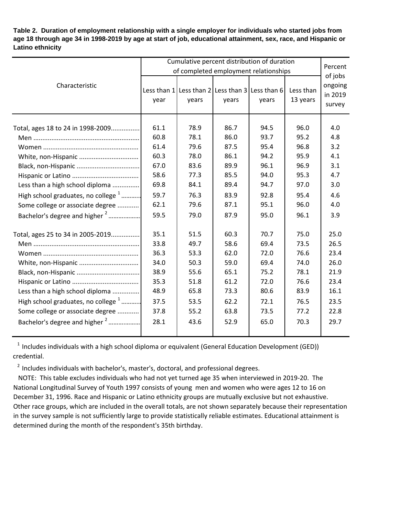**Table 2. Duration of employment relationship with a single employer for individuals who started jobs from age 18 through age 34 in 1998-2019 by age at start of job, educational attainment, sex, race, and Hispanic or Latino ethnicity**

|                                                | Cumulative percent distribution of duration<br>of completed employment relationships |       |       |                                                                |                       |                                         |  |  |
|------------------------------------------------|--------------------------------------------------------------------------------------|-------|-------|----------------------------------------------------------------|-----------------------|-----------------------------------------|--|--|
| Characteristic                                 | year                                                                                 | years | years | Less than $1$ Less than $2$ Less than $3$ Less than 6<br>years | Less than<br>13 years | of jobs<br>ongoing<br>in 2019<br>survey |  |  |
| Total, ages 18 to 24 in 1998-2009              | 61.1                                                                                 | 78.9  | 86.7  | 94.5                                                           | 96.0                  | 4.0                                     |  |  |
|                                                | 60.8                                                                                 | 78.1  | 86.0  | 93.7                                                           | 95.2                  | 4.8                                     |  |  |
|                                                | 61.4                                                                                 | 79.6  | 87.5  | 95.4                                                           | 96.8                  | 3.2                                     |  |  |
|                                                | 60.3                                                                                 | 78.0  | 86.1  | 94.2                                                           | 95.9                  | 4.1                                     |  |  |
|                                                | 67.0                                                                                 | 83.6  | 89.9  | 96.1                                                           | 96.9                  | 3.1                                     |  |  |
|                                                | 58.6                                                                                 | 77.3  | 85.5  | 94.0                                                           | 95.3                  | 4.7                                     |  |  |
| Less than a high school diploma                | 69.8                                                                                 | 84.1  | 89.4  | 94.7                                                           | 97.0                  | 3.0                                     |  |  |
| High school graduates, no college $1$          | 59.7                                                                                 | 76.3  | 83.9  | 92.8                                                           | 95.4                  | 4.6                                     |  |  |
| Some college or associate degree               | 62.1                                                                                 | 79.6  | 87.1  | 95.1                                                           | 96.0                  | 4.0                                     |  |  |
| Bachelor's degree and higher <sup>2</sup>      | 59.5                                                                                 | 79.0  | 87.9  | 95.0                                                           | 96.1                  | 3.9                                     |  |  |
| Total, ages 25 to 34 in 2005-2019              | 35.1                                                                                 | 51.5  | 60.3  | 70.7                                                           | 75.0                  | 25.0                                    |  |  |
|                                                | 33.8                                                                                 | 49.7  | 58.6  | 69.4                                                           | 73.5                  | 26.5                                    |  |  |
|                                                | 36.3                                                                                 | 53.3  | 62.0  | 72.0                                                           | 76.6                  | 23.4                                    |  |  |
| White, non-Hispanic                            | 34.0                                                                                 | 50.3  | 59.0  | 69.4                                                           | 74.0                  | 26.0                                    |  |  |
|                                                | 38.9                                                                                 | 55.6  | 65.1  | 75.2                                                           | 78.1                  | 21.9                                    |  |  |
|                                                | 35.3                                                                                 | 51.8  | 61.2  | 72.0                                                           | 76.6                  | 23.4                                    |  |  |
| Less than a high school diploma                | 48.9                                                                                 | 65.8  | 73.3  | 80.6                                                           | 83.9                  | 16.1                                    |  |  |
| High school graduates, no college <sup>1</sup> | 37.5                                                                                 | 53.5  | 62.2  | 72.1                                                           | 76.5                  | 23.5                                    |  |  |
| Some college or associate degree               | 37.8                                                                                 | 55.2  | 63.8  | 73.5                                                           | 77.2                  | 22.8                                    |  |  |
| Bachelor's degree and higher <sup>2</sup>      | 28.1                                                                                 | 43.6  | 52.9  | 65.0                                                           | 70.3                  | 29.7                                    |  |  |

 $1$  Includes individuals with a high school diploma or equivalent (General Education Development (GED)) credential.

 $2$  Includes individuals with bachelor's, master's, doctoral, and professional degrees.

 NOTE: This table excludes individuals who had not yet turned age 35 when interviewed in 2019-20. The National Longitudinal Survey of Youth 1997 consists of young men and women who were ages 12 to 16 on December 31, 1996. Race and Hispanic or Latino ethnicity groups are mutually exclusive but not exhaustive. Other race groups, which are included in the overall totals, are not shown separately because their representation in the survey sample is not sufficiently large to provide statistically reliable estimates. Educational attainment is determined during the month of the respondent's 35th birthday.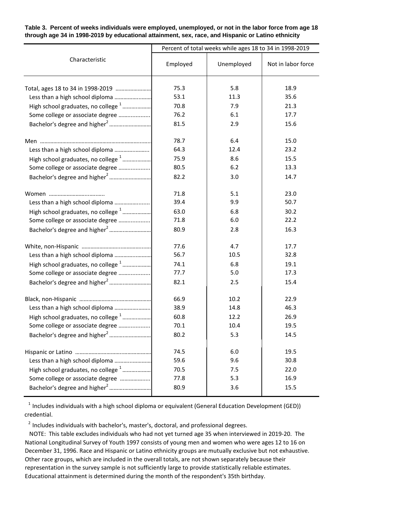**Table 3. Percent of weeks individuals were employed, unemployed, or not in the labor force from age 18 through age 34 in 1998-2019 by educational attainment, sex, race, and Hispanic or Latino ethnicity**

|                                                |              | Percent of total weeks while ages 18 to 34 in 1998-2019 |                    |
|------------------------------------------------|--------------|---------------------------------------------------------|--------------------|
| Characteristic                                 | Employed     | Unemployed                                              | Not in labor force |
|                                                | 75.3<br>53.1 | 5.8<br>11.3                                             | 18.9<br>35.6       |
| Less than a high school diploma                |              |                                                         |                    |
| High school graduates, no college <sup>1</sup> | 70.8         | 7.9                                                     | 21.3               |
| Some college or associate degree               | 76.2         | 6.1                                                     | 17.7               |
|                                                | 81.5         | 2.9                                                     | 15.6               |
|                                                | 78.7         | 6.4                                                     | 15.0               |
| Less than a high school diploma                | 64.3         | 12.4                                                    | 23.2               |
| High school graduates, no college <sup>1</sup> | 75.9         | 8.6                                                     | 15.5               |
| Some college or associate degree               | 80.5         | 6.2                                                     | 13.3               |
|                                                | 82.2         | 3.0                                                     | 14.7               |
|                                                | 71.8         | 5.1                                                     | 23.0               |
| Less than a high school diploma                | 39.4         | 9.9                                                     | 50.7               |
| High school graduates, no college <sup>1</sup> | 63.0         | 6.8                                                     | 30.2               |
| Some college or associate degree               | 71.8         | 6.0                                                     | 22.2               |
|                                                | 80.9         | 2.8                                                     | 16.3               |
|                                                | 77.6         | 4.7                                                     | 17.7               |
| Less than a high school diploma                | 56.7         | 10.5                                                    | 32.8               |
|                                                | 74.1         | 6.8                                                     | 19.1               |
| Some college or associate degree               | 77.7         | 5.0                                                     | 17.3               |
|                                                | 82.1         | 2.5                                                     | 15.4               |
|                                                | 66.9         | 10.2                                                    | 22.9               |
|                                                | 38.9         | 14.8                                                    | 46.3               |
| High school graduates, no college <sup>1</sup> | 60.8         | 12.2                                                    | 26.9               |
| Some college or associate degree               | 70.1         | 10.4                                                    | 19.5               |
|                                                | 80.2         | 5.3                                                     | 14.5               |
|                                                | 74.5         | 6.0                                                     | 19.5               |
| Less than a high school diploma                | 59.6         | 9.6                                                     | 30.8               |
| High school graduates, no college <sup>1</sup> | 70.5         | 7.5                                                     | 22.0               |
| Some college or associate degree               | 77.8         | 5.3                                                     | 16.9               |
|                                                | 80.9         | 3.6                                                     | 15.5               |
|                                                |              |                                                         |                    |

 $1$  Includes individuals with a high school diploma or equivalent (General Education Development (GED)) credential.

 $2$  Includes individuals with bachelor's, master's, doctoral, and professional degrees.

 NOTE: This table excludes individuals who had not yet turned age 35 when interviewed in 2019-20. The National Longitudinal Survey of Youth 1997 consists of young men and women who were ages 12 to 16 on December 31, 1996. Race and Hispanic or Latino ethnicity groups are mutually exclusive but not exhaustive. Other race groups, which are included in the overall totals, are not shown separately because their representation in the survey sample is not sufficiently large to provide statistically reliable estimates. Educational attainment is determined during the month of the respondent's 35th birthday.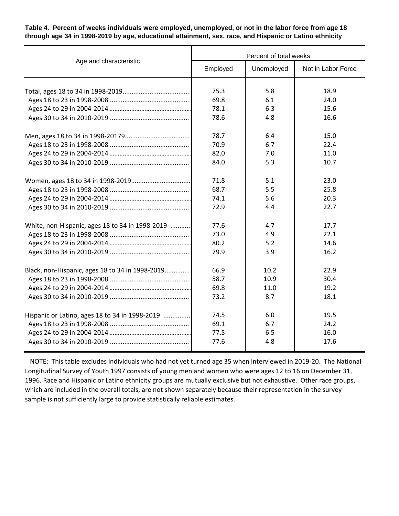### **Table 4. Percent of weeks individuals were employed, unemployed, or not in the labor force from age 18 through age 34 in 1998-2019 by age, educational attainment, sex, race, and Hispanic or Latino ethnicity**

|                                                 | Percent of total weeks |            |                    |  |  |  |
|-------------------------------------------------|------------------------|------------|--------------------|--|--|--|
| Age and characteristic                          | Employed               | Unemployed | Not in Labor Force |  |  |  |
|                                                 | 75.3                   | 5.8        | 18.9               |  |  |  |
|                                                 | 69.8                   | 6.1        | 24.0               |  |  |  |
|                                                 | 78.1                   | 6.3        | 15.6               |  |  |  |
|                                                 | 78.6                   | 4.8        | 16.6               |  |  |  |
|                                                 |                        |            |                    |  |  |  |
|                                                 | 78.7                   | 6.4        | 15.0               |  |  |  |
|                                                 | 70.9                   | 6.7        | 22.4               |  |  |  |
|                                                 | 82.0                   | 7.0        | 11.0               |  |  |  |
|                                                 | 84.0                   | 5.3        | 10.7               |  |  |  |
|                                                 | 71.8                   | 5.1        | 23.0               |  |  |  |
|                                                 | 68.7                   | 5.5        | 25.8               |  |  |  |
|                                                 | 74.1                   | 5.6        | 20.3               |  |  |  |
|                                                 | 72.9                   | 4.4        | 22.7               |  |  |  |
| White, non-Hispanic, ages 18 to 34 in 1998-2019 | 77.6                   | 4.7        | 17.7               |  |  |  |
|                                                 | 73.0                   | 4.9        | 22.1               |  |  |  |
|                                                 | 80.2                   | 5.2        | 14.6               |  |  |  |
|                                                 | 79.9                   | 3.9        | 16.2               |  |  |  |
| Black, non-Hispanic, ages 18 to 34 in 1998-2019 | 66.9                   | 10.2       | 22.9               |  |  |  |
|                                                 | 58.7                   | 10.9       | 30.4               |  |  |  |
|                                                 | 69.8                   | 11.0       | 19.2               |  |  |  |
|                                                 | 73.2                   | 8.7        | 18.1               |  |  |  |
| Hispanic or Latino, ages 18 to 34 in 1998-2019  | 74.5                   | 6.0        | 19.5               |  |  |  |
|                                                 | 69.1                   | 6.7        | 24.2               |  |  |  |
|                                                 | 77.5                   | 6.5        | 16.0               |  |  |  |
|                                                 | 77.6                   | 4.8        | 17.6               |  |  |  |
|                                                 |                        |            |                    |  |  |  |

 NOTE: This table excludes individuals who had not yet turned age 35 when interviewed in 2019-20. The National Longitudinal Survey of Youth 1997 consists of young men and women who were ages 12 to 16 on December 31, 1996. Race and Hispanic or Latino ethnicity groups are mutually exclusive but not exhaustive. Other race groups, which are included in the overall totals, are not shown separately because their representation in the survey sample is not sufficiently large to provide statistically reliable estimates.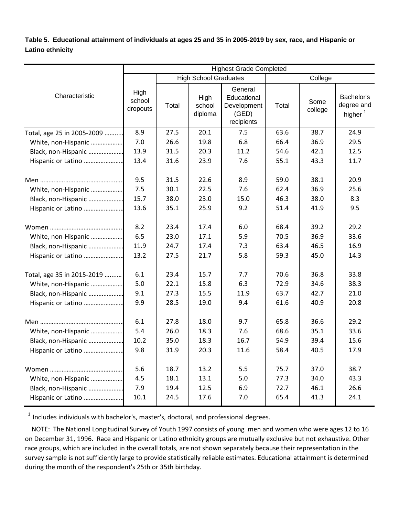**Table 5. Educational attainment of individuals at ages 25 and 35 in 2005-2019 by sex, race, and Hispanic or Latino ethnicity** 

|                            | <b>Highest Grade Completed</b> |                                         |                           |                                                              |       |                 |                                                 |  |  |
|----------------------------|--------------------------------|-----------------------------------------|---------------------------|--------------------------------------------------------------|-------|-----------------|-------------------------------------------------|--|--|
|                            |                                | <b>High School Graduates</b><br>College |                           |                                                              |       |                 |                                                 |  |  |
| Characteristic             | High<br>school<br>dropouts     | Total                                   | High<br>school<br>diploma | General<br>Educational<br>Development<br>(GED)<br>recipients | Total | Some<br>college | Bachelor's<br>degree and<br>higher <sup>1</sup> |  |  |
| Total, age 25 in 2005-2009 | 8.9                            | 27.5                                    | 20.1                      | 7.5                                                          | 63.6  | 38.7            | 24.9                                            |  |  |
| White, non-Hispanic        | 7.0                            | 26.6                                    | 19.8                      | 6.8                                                          | 66.4  | 36.9            | 29.5                                            |  |  |
| Black, non-Hispanic        | 13.9                           | 31.5                                    | 20.3                      | 11.2                                                         | 54.6  | 42.1            | 12.5                                            |  |  |
| Hispanic or Latino         | 13.4                           | 31.6                                    | 23.9                      | 7.6                                                          | 55.1  | 43.3            | 11.7                                            |  |  |
|                            | 9.5                            | 31.5                                    | 22.6                      | 8.9                                                          | 59.0  | 38.1            | 20.9                                            |  |  |
| White, non-Hispanic        | 7.5                            | 30.1                                    | 22.5                      | 7.6                                                          | 62.4  | 36.9            | 25.6                                            |  |  |
| Black, non-Hispanic        | 15.7                           | 38.0                                    | 23.0                      | 15.0                                                         | 46.3  | 38.0            | 8.3                                             |  |  |
| Hispanic or Latino         | 13.6                           | 35.1                                    | 25.9                      | 9.2                                                          | 51.4  | 41.9            | 9.5                                             |  |  |
|                            | 8.2                            | 23.4                                    | 17.4                      | 6.0                                                          | 68.4  | 39.2            | 29.2                                            |  |  |
| White, non-Hispanic        | 6.5                            | 23.0                                    | 17.1                      | 5.9                                                          | 70.5  | 36.9            | 33.6                                            |  |  |
| Black, non-Hispanic        | 11.9                           | 24.7                                    | 17.4                      | 7.3                                                          | 63.4  | 46.5            | 16.9                                            |  |  |
| Hispanic or Latino         | 13.2                           | 27.5                                    | 21.7                      | 5.8                                                          | 59.3  | 45.0            | 14.3                                            |  |  |
| Total, age 35 in 2015-2019 | 6.1                            | 23.4                                    | 15.7                      | 7.7                                                          | 70.6  | 36.8            | 33.8                                            |  |  |
| White, non-Hispanic        | 5.0                            | 22.1                                    | 15.8                      | 6.3                                                          | 72.9  | 34.6            | 38.3                                            |  |  |
| Black, non-Hispanic        | 9.1                            | 27.3                                    | 15.5                      | 11.9                                                         | 63.7  | 42.7            | 21.0                                            |  |  |
| Hispanic or Latino         | 9.9                            | 28.5                                    | 19.0                      | 9.4                                                          | 61.6  | 40.9            | 20.8                                            |  |  |
|                            | 6.1                            | 27.8                                    | 18.0                      | 9.7                                                          | 65.8  | 36.6            | 29.2                                            |  |  |
| White, non-Hispanic        | 5.4                            | 26.0                                    | 18.3                      | 7.6                                                          | 68.6  | 35.1            | 33.6                                            |  |  |
| Black, non-Hispanic        | 10.2                           | 35.0                                    | 18.3                      | 16.7                                                         | 54.9  | 39.4            | 15.6                                            |  |  |
| Hispanic or Latino         | 9.8                            | 31.9                                    | 20.3                      | 11.6                                                         | 58.4  | 40.5            | 17.9                                            |  |  |
|                            | 5.6                            | 18.7                                    | 13.2                      | 5.5                                                          | 75.7  | 37.0            | 38.7                                            |  |  |
| White, non-Hispanic        | 4.5                            | 18.1                                    | 13.1                      | 5.0                                                          | 77.3  | 34.0            | 43.3                                            |  |  |
| Black, non-Hispanic        | 7.9                            | 19.4                                    | 12.5                      | 6.9                                                          | 72.7  | 46.1            | 26.6                                            |  |  |
| Hispanic or Latino         | 10.1                           | 24.5                                    | 17.6                      | 7.0                                                          | 65.4  | 41.3            | 24.1                                            |  |  |

 $1$  Includes individuals with bachelor's, master's, doctoral, and professional degrees.

 NOTE: The National Longitudinal Survey of Youth 1997 consists of young men and women who were ages 12 to 16 on December 31, 1996. Race and Hispanic or Latino ethnicity groups are mutually exclusive but not exhaustive. Other race groups, which are included in the overall totals, are not shown separately because their representation in the survey sample is not sufficiently large to provide statistically reliable estimates. Educational attainment is determined during the month of the respondent's 25th or 35th birthday.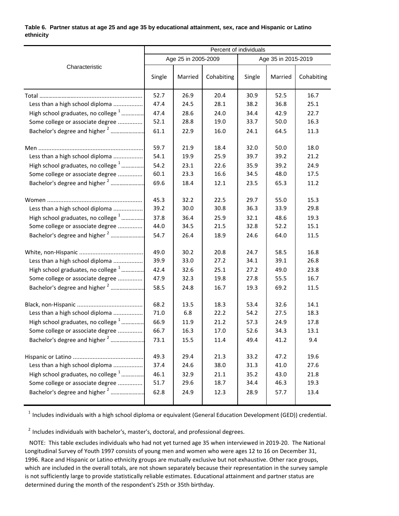### **Table 6. Partner status at age 25 and age 35 by educational attainment, sex, race and Hispanic or Latino ethnicity**

|                                                | Percent of individuals |                     |            |                     |         |            |  |
|------------------------------------------------|------------------------|---------------------|------------|---------------------|---------|------------|--|
|                                                |                        | Age 25 in 2005-2009 |            | Age 35 in 2015-2019 |         |            |  |
| Characteristic                                 | Single                 | Married             | Cohabiting | Single              | Married | Cohabiting |  |
|                                                | 52.7                   | 26.9                | 20.4       | 30.9                | 52.5    | 16.7       |  |
| Less than a high school diploma                | 47.4                   | 24.5                | 28.1       | 38.2                | 36.8    | 25.1       |  |
| High school graduates, no college <sup>1</sup> | 47.4                   | 28.6                | 24.0       | 34.4                | 42.9    | 22.7       |  |
| Some college or associate degree               | 52.1                   | 28.8                | 19.0       | 33.7                | 50.0    | 16.3       |  |
| Bachelor's degree and higher <sup>2</sup>      | 61.1                   | 22.9                | 16.0       | 24.1                | 64.5    | 11.3       |  |
|                                                | 59.7                   | 21.9                | 18.4       | 32.0                | 50.0    | 18.0       |  |
| Less than a high school diploma                | 54.1                   | 19.9                | 25.9       | 39.7                | 39.2    | 21.2       |  |
| High school graduates, no college <sup>1</sup> | 54.2                   | 23.1                | 22.6       | 35.9                | 39.2    | 24.9       |  |
| Some college or associate degree               | 60.1                   | 23.3                | 16.6       | 34.5                | 48.0    | 17.5       |  |
| Bachelor's degree and higher <sup>2</sup>      | 69.6                   | 18.4                | 12.1       | 23.5                | 65.3    | 11.2       |  |
|                                                | 45.3                   | 32.2                | 22.5       | 29.7                | 55.0    | 15.3       |  |
| Less than a high school diploma                | 39.2                   | 30.0                | 30.8       | 36.3                | 33.9    | 29.8       |  |
| High school graduates, no college <sup>1</sup> | 37.8                   | 36.4                | 25.9       | 32.1                | 48.6    | 19.3       |  |
| Some college or associate degree               | 44.0                   | 34.5                | 21.5       | 32.8                | 52.2    | 15.1       |  |
| Bachelor's degree and higher <sup>2</sup>      | 54.7                   | 26.4                | 18.9       | 24.6                | 64.0    | 11.5       |  |
|                                                | 49.0                   | 30.2                | 20.8       | 24.7                | 58.5    | 16.8       |  |
| Less than a high school diploma                | 39.9                   | 33.0                | 27.2       | 34.1                | 39.1    | 26.8       |  |
| High school graduates, no college <sup>1</sup> | 42.4                   | 32.6                | 25.1       | 27.2                | 49.0    | 23.8       |  |
| Some college or associate degree               | 47.9                   | 32.3                | 19.8       | 27.8                | 55.5    | 16.7       |  |
| Bachelor's degree and higher <sup>2</sup>      | 58.5                   | 24.8                | 16.7       | 19.3                | 69.2    | 11.5       |  |
| Black, non-Hispanic                            | 68.2                   | 13.5                | 18.3       | 53.4                | 32.6    | 14.1       |  |
| Less than a high school diploma                | 71.0                   | 6.8                 | 22.2       | 54.2                | 27.5    | 18.3       |  |
| High school graduates, no college <sup>1</sup> | 66.9                   | 11.9                | 21.2       | 57.3                | 24.9    | 17.8       |  |
| Some college or associate degree               | 66.7                   | 16.3                | 17.0       | 52.6                | 34.3    | 13.1       |  |
| Bachelor's degree and higher <sup>2</sup>      | 73.1                   | 15.5                | 11.4       | 49.4                | 41.2    | 9.4        |  |
|                                                | 49.3                   | 29.4                | 21.3       | 33.2                | 47.2    | 19.6       |  |
| Less than a high school diploma                | 37.4                   | 24.6                | 38.0       | 31.3                | 41.0    | 27.6       |  |
| High school graduates, no college <sup>1</sup> | 46.1                   | 32.9                | 21.1       | 35.2                | 43.0    | 21.8       |  |
| Some college or associate degree               | 51.7                   | 29.6                | 18.7       | 34.4                | 46.3    | 19.3       |  |
| Bachelor's degree and higher <sup>2</sup>      | 62.8                   | 24.9                | 12.3       | 28.9                | 57.7    | 13.4       |  |

 $1$  Includes individuals with a high school diploma or equivalent (General Education Development (GED)) credential.

 $2$  Includes individuals with bachelor's, master's, doctoral, and professional degrees.

 NOTE: This table excludes individuals who had not yet turned age 35 when interviewed in 2019-20. The National Longitudinal Survey of Youth 1997 consists of young men and women who were ages 12 to 16 on December 31, 1996. Race and Hispanic or Latino ethnicity groups are mutually exclusive but not exhaustive. Other race groups, which are included in the overall totals, are not shown separately because their representation in the survey sample is not sufficiently large to provide statistically reliable estimates. Educational attainment and partner status are determined during the month of the respondent's 25th or 35th birthday.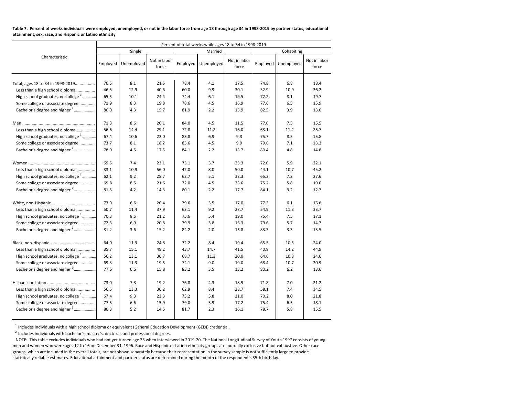| Table 7. Percent of weeks individuals were employed, unemployed, or not in the labor force from age 18 through age 34 in 1998-2019 by partner status, educational |  |
|-------------------------------------------------------------------------------------------------------------------------------------------------------------------|--|
| attainment, sex, race, and Hispanic or Latino ethnicity                                                                                                           |  |

|                                                | Percent of total weeks while ages 18 to 34 in 1998-2019 |            |                       |          |            |                       |          |            |                       |
|------------------------------------------------|---------------------------------------------------------|------------|-----------------------|----------|------------|-----------------------|----------|------------|-----------------------|
|                                                |                                                         | Single     |                       |          | Married    |                       |          | Cohabiting |                       |
| Characteristic                                 | Employed                                                | Unemployed | Not in labor<br>force | Employed | Unemployed | Not in labor<br>force | Employed | Unemployed | Not in labor<br>force |
| Total, ages 18 to 34 in 1998-2019              | 70.5                                                    | 8.1        | 21.5                  | 78.4     | 4.1        | 17.5                  | 74.8     | 6.8        | 18.4                  |
| Less than a high school diploma                | 46.5                                                    | 12.9       | 40.6                  | 60.0     | 9.9        | 30.1                  | 52.9     | 10.9       | 36.2                  |
| High school graduates, no college <sup>1</sup> | 65.5                                                    | 10.1       | 24.4                  | 74.4     | 6.1        | 19.5                  | 72.2     | 8.1        | 19.7                  |
| Some college or associate degree               | 71.9                                                    | 8.3        | 19.8                  | 78.6     | 4.5        | 16.9                  | 77.6     | 6.5        | 15.9                  |
| Bachelor's degree and higher <sup>2</sup>      | 80.0                                                    | 4.3        | 15.7                  | 81.9     | 2.2        | 15.9                  | 82.5     | 3.9        | 13.6                  |
|                                                | 71.3                                                    | 8.6        | 20.1                  | 84.0     | 4.5        | 11.5                  | 77.0     | 7.5        | 15.5                  |
| Less than a high school diploma                | 56.6                                                    | 14.4       | 29.1                  | 72.8     | 11.2       | 16.0                  | 63.1     | 11.2       | 25.7                  |
| High school graduates, no college <sup>1</sup> | 67.4                                                    | 10.6       | 22.0                  | 83.8     | 6.9        | 9.3                   | 75.7     | 8.5        | 15.8                  |
| Some college or associate degree               | 73.7                                                    | 8.1        | 18.2                  | 85.6     | 4.5        | 9.9                   | 79.6     | 7.1        | 13.3                  |
| Bachelor's degree and higher <sup>2</sup>      | 78.0                                                    | 4.5        | 17.5                  | 84.1     | 2.2        | 13.7                  | 80.4     | 4.8        | 14.8                  |
|                                                | 69.5                                                    | 7.4        | 23.1                  | 73.1     | 3.7        | 23.3                  | 72.0     | 5.9        | 22.1                  |
| Less than a high school diploma                | 33.1                                                    | 10.9       | 56.0                  | 42.0     | 8.0        | 50.0                  | 44.1     | 10.7       | 45.2                  |
| High school graduates, no college <sup>1</sup> | 62.1                                                    | 9.2        | 28.7                  | 62.7     | 5.1        | 32.3                  | 65.2     | 7.2        | 27.6                  |
| Some college or associate degree               | 69.8                                                    | 8.5        | 21.6                  | 72.0     | 4.5        | 23.6                  | 75.2     | 5.8        | 19.0                  |
| Bachelor's degree and higher <sup>2</sup>      | 81.5                                                    | 4.2        | 14.3                  | 80.1     | 2.2        | 17.7                  | 84.1     | 3.2        | 12.7                  |
|                                                | 73.0                                                    | 6.6        | 20.4                  | 79.6     | 3.5        | 17.0                  | 77.3     | 6.1        | 16.6                  |
| Less than a high school diploma                | 50.7                                                    | 11.4       | 37.9                  | 63.1     | 9.2        | 27.7                  | 54.9     | 11.3       | 33.7                  |
| High school graduates, no college <sup>1</sup> | 70.3                                                    | 8.6        | 21.2                  | 75.6     | 5.4        | 19.0                  | 75.4     | 7.5        | 17.1                  |
| Some college or associate degree               | 72.3                                                    | 6.9        | 20.8                  | 79.9     | 3.8        | 16.3                  | 79.6     | 5.7        | 14.7                  |
| Bachelor's degree and higher <sup>2</sup>      | 81.2                                                    | 3.6        | 15.2                  | 82.2     | 2.0        | 15.8                  | 83.3     | 3.3        | 13.5                  |
|                                                | 64.0                                                    | 11.3       | 24.8                  | 72.2     | 8.4        | 19.4                  | 65.5     | 10.5       | 24.0                  |
| Less than a high school diploma                | 35.7                                                    | 15.1       | 49.2                  | 43.7     | 14.7       | 41.5                  | 40.9     | 14.2       | 44.9                  |
| High school graduates, no college $1$          | 56.2                                                    | 13.1       | 30.7                  | 68.7     | 11.3       | 20.0                  | 64.6     | 10.8       | 24.6                  |
| Some college or associate degree               | 69.3                                                    | 11.3       | 19.5                  | 72.1     | 9.0        | 19.0                  | 68.4     | 10.7       | 20.9                  |
| Bachelor's degree and higher <sup>2</sup>      | 77.6                                                    | 6.6        | 15.8                  | 83.2     | 3.5        | 13.2                  | 80.2     | 6.2        | 13.6                  |
|                                                | 73.0                                                    | 7.8        | 19.2                  | 76.8     | 4.3        | 18.9                  | 71.8     | 7.0        | 21.2                  |
| Less than a high school diploma                | 56.5                                                    | 13.3       | 30.2                  | 62.9     | 8.4        | 28.7                  | 58.1     | 7.4        | 34.5                  |
| High school graduates, no college <sup>1</sup> | 67.4                                                    | 9.3        | 23.3                  | 73.2     | 5.8        | 21.0                  | 70.2     | 8.0        | 21.8                  |
| Some college or associate degree               | 77.5                                                    | 6.6        | 15.9                  | 79.0     | 3.9        | 17.2                  | 75.4     | 6.5        | 18.1                  |
| Bachelor's degree and higher <sup>2</sup>      | 80.3                                                    | 5.2        | 14.5                  | 81.7     | 2.3        | 16.1                  | 78.7     | 5.8        | 15.5                  |

<sup>1</sup> Includes individuals with a high school diploma or equivalent (General Education Development (GED)) credential.<br><sup>2</sup> Includes individuals with bachelor's, master's, doctoral, and professional degrees.

 NOTE: This table excludes individuals who had not yet turned age 35 when interviewed in 2019-20. The National Longitudinal Survey of Youth 1997 consists of young men and women who were ages 12 to 16 on December 31, 1996. Race and Hispanic or Latino ethnicity groups are mutually exclusive but not exhaustive. Other race groups, which are included in the overall totals, are not shown separately because their representation in the survey sample is not sufficiently large to provide statistically reliable estimates. Educational attainment and partner status are determined during the month of the respondent's 35th birthday.